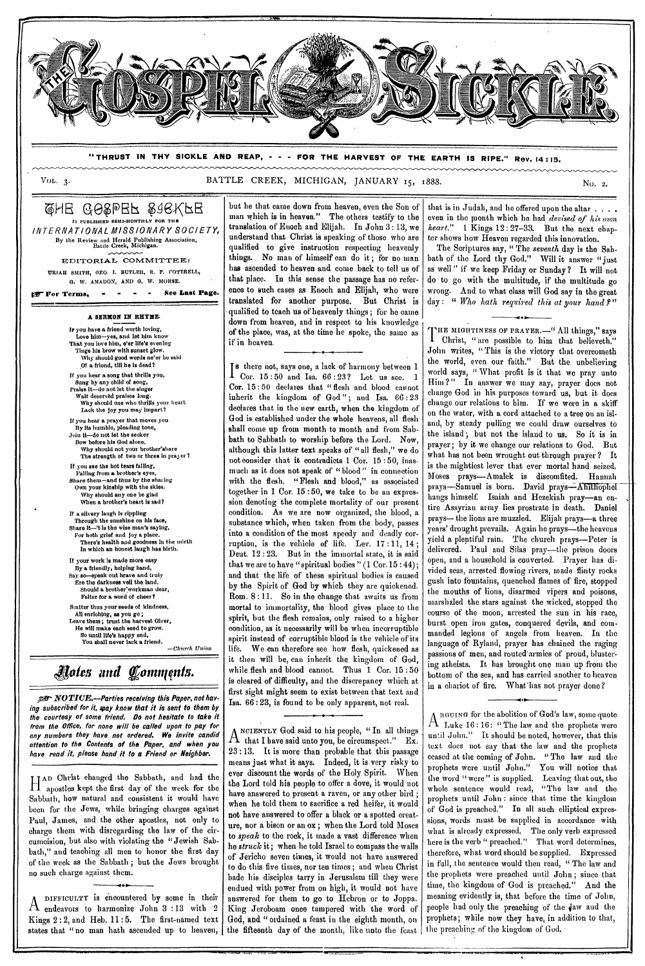

**"THRUST IN THY SICKLE AND REAP, - - - FOR THE HARVEST OF THE EARTH IS RIPE." Rev. 14 : 15.** 

Vol.  $3$ .

BATTLE CREEK, MICHIGAN, JANUARY 15, 1888.

 $Q$ HE G $\Theta$ & $E$ pe $F$  & G $\Theta$ K, Pe **IS PUBLISHED SEMI-MONTHLY FOR THE**  *INTERNATIONAL MISSIONARY SOCIETY,*  By the Review and Herald Publishing Association,<br>Battle Creek, Michigan. EDITORIAL COMMITTEE:

ITRIAII SMITH, 0E0. I. BUTLER, R. P. COTTRELL, G. W. AMADON, AND O. W. MORSE.

**rir For Terms, - • - See Last Page.** 

**A SERMON IN** RHYME.

Jr you have a friend worth loving, Love him-yes, and let him know That you love him, e'er life's evening Tinge his brow with sunset glow. Why should good words ne'er be said pt a friend, till he is dead? If you hear a song that thrills you, Sung by any child of song, Praise it—do not lot the singer Walt deserved praises long. Why should one who thrills your heart Lack the joy you may impart? If you hear a prayer that moves you By its humble, pleading tone, Join it--do not let the seeker Bow before his God alone. Why should not your brother'share The strength of two or three in prayer ? It you see the hot tears falling, Falling from **a** brother's eyes, Share them—and thus by *the* sharing Own your kinship with the skies. Why should any one be glad When **a** brother's heart is sad? If a silvery laugh is rippling Through the sunshine on his face, Share it—'t is the wise man's saying, For both grief and joy a place. There's health and goodness in the mirth In which an honest laugh has birth. If your work is made more easy By a friendly, helping hand, *Say* so—speak out brave and truly Ere the darkness veil the land. Should a brother workman dear, Falter for a word of cheer? Scatter thus your seeds of kindness All enriching, as you go; Leave them; trust the harvest Giver, He will make each seed to grow. So until life's happy end, You shall never lack **a** friend.

*—Church Union* 

# *Notes and Comnpints.*

*NOTIUE.—Parties receiving this Paper, not having subscribed for it, may know that it is sent to them by the courtesy of some friend. Do not hesitate to take it from the Office, for none will be called upon to pay for any numbers they have not ordered. We invite candid attention to the Contents of the Paper, and when you have read it, please hand it to* **a** *Friend or Neighbor.* 

II AD Christ changed the Sabbath, and had the apostles kept the first day of the week for the Sabbath, how natural and consistent it would have been for the Jews, while bringing charges against Paul, James, and the other apostles, not only to charge them with disregarding the law of the circumcision, but also with violating the "Jewish Sabbath," and teaching all men to honor the first day of the week as the Sabbath ; but the Jews brought no such charge against them.

A DIFFICULTY is encountered by some in their endeavors to harmonize John 3 :13 with 2 Kings 2 : 2, and Heb. 11 : 5. The first-named text states that "no man hath ascended up to heaven,

but he that came down from heaven, even the Son of man which is in heaven." The others testify to the translation of Enoch and Elijah. In John  $3:13$ , we understand that Christ is speaking of those who are qualified to give instruction respecting heavenly things. No man of himself can do it ; for no man has ascended to heaven and come back to tell us of that place. In this sense the passage has no reference to such cases as Enoch and Elijah, who were translated for another purpose. But Christ is qualified to teach us of heavenly things; for ho came down from heaven, and in respect to his knowledge of the place, was, at the time be spoke, the same as if in heaven.

*I* Cor. 15:50 and Isa. 66:23? Let us see. there not, says one, a lack of harmony between *1*  Cor. 15 : 50 declares that "flesh and blood cannot inherit the kingdom of God"; and Isa. 66:23 declares that in the new earth, when the kingdom of God is established under the whole heavens, all flesh shall come up from month to month and from Sabbath to Sabbath to worship before the Lord. Now, although this latter text speaks of "all flesh," we do not consider that it contradicts 1 Cor. 15 : 50, inasmuch as it does not speak of " blood" in connection with the flesh. "Flesh and blood," as associated together in  $1 \text{ Cor. } 15:50$ , we take to be an expression denoting the complete mortality of our present condition. As we are now organized, the blood, a substance which, when taken from the body, passes into a condition of the most speedy and deadly corruption, is the vehicle of life. Lev.  $17:11,14$ ; Deut. 12 : 23. But in the immortal state, it is said that we are to have "spiritual bodies"  $(1 \text{ Cor. } 15 : 44);$ and that the life of these spiritual bodies is caused by the Spirit of God by which they are quickened. Rom. 8:11. So in the change that awaits us from mortal to immortality, the blood gives place to the spirit, but the flesh remains, only raised to a higher condition, as it necessarily will be when incorruptible spirit instead of corruptible blood is the vehicle of its life. We can therefore see how flesh, quickened as it then will be, can inherit the kingdom of God, while flesh and blood cannot. Thus 1 Cor. 15 : 50 is cleared of difficulty, and the discrepancy which at first sight might seem to exist between that text and Isa. 66 : 23, is found to be only apparent, not real.

A that I have said unto you, be circumspect." Ex. NCIENTLY God said to his people, " In all things 23 :13. It is more than probable that this passage means just what it *says.* Indeed, it is very risky to ever discount the words of the Holy Spirit. When the Lord told his people to offer a dove, it would not have answered to present a raven, or any other bird when he told them to sacrifice a red heifer, it would not have answered to offer a black **or** a spotted creature, nor a bison or an ox ; when the Lord told Moses to *speak* to the rock, it made *a* vast difference when he *struck* it; when he told Israel to compass the walls of Jericho seven times, it would not have answered to do this five times, nor ten times ; and when Christ bade his disciples tarry in Jerusalem till they were endued with power from on high, it would not have answered for them to go to Hebron or to Joppa. King Jeroboam once tampered with the word of God, and "ordained a feast in the eighth month, on the fifteenth day of the month, like unto the feast

'Of

that is in Judah, and he offered upon the altar . . . . even in the month which he had *devised of his own heart."* 1 Kings 12: 27-33. But the next chapter shows how Heaven regarded this innovation.

The Scriptures say, " The *seventh* day is the Sabbath of the Lord thy God." Will it answer "just as well " if we keep Friday **or** Sunday ? It will not do to go with the multitude, if the multitude go wrong. And to what class will God say in the great day : " Who hath required this at your hand ?"

•

THE MIGHTINESS OF PRAYER.—" All things," says **I** Christ, " are possible to him that believeth." John writes, "This is the victory that overcometh the world, even our faith." But the unbelieving world says, " What profit is it that we pray unto Him?" In answer we may say, prayer does not change God in his purposes toward us, but it does change our relations to him. If we were in a skiff on the water, with a cord attached to a tree on an island, by steady pulling we could draw ourselves to 'the island ; but not the island to us. So it is in prayer; by it we change our relations to God. But what has not been wrought out through prayer? It is the mightiest lever that ever mortal hand seized. Moses prays—Amalek is discomfited. Hannah prays—Samuel is born. David prays—Ahithophol hangs himself. Isaiah and Hezekiah pray-an entire Assyrian army lies prostrate in death. Daniel prays—the lions are muzzled. Elijah prays—a three years' drought prevails. Again he prays—the heavens yield a plentiful rain. The church prays—Peter is delivered. Paul and Silas pray—the prison doors open, and a household is converted. Prayer has divided seas, arrested flowing rivers, made flinty rocks gush into fountains, quenched flames of fire, stopped the mouths of lions, disarmed vipers and poisons, marshaled the stars against the wicked, stopped the course of the moon, arrested the sun in his race, burst open iron gates, conquered devils, and commanded legions of angels from heaven. In the language of Ryland, prayer has chained the raging passions of men, and routed'armies of proud, blustering atheists. It has brought one man up from the bottom of the sea, and has carried another to heaven in a chariot of fire. What'has not prayer done?

A RGUING for the abolition of God's law, some quote  $\Delta$  Luke 16:16: " The law and the prophets were until John." It should be noted, however, that this text does not say that the law and the prophets ceased at the coming of John. "The law and the prophets were until John." You will notice that the word "were" is supplied. Leaving that out, the whole sentence would read, "The law and prophets until John : since that time the kingdom of God is preached." In all such elliptical expressions, words must be supplied in accordance with what is already expressed. The only verb expressed here is the verb " preached." That word determines, therefore, what word should be supplied. Expressed in full, the sentence would then read, " The law and the prophets were preached until John ; since that time, the kingdom of God is preached." And the meaning evidently is, that before the time of John, people had only the preaching of the 4aw and the prophets; while now they have, in addition to that, the preaching of the kingdom of God. •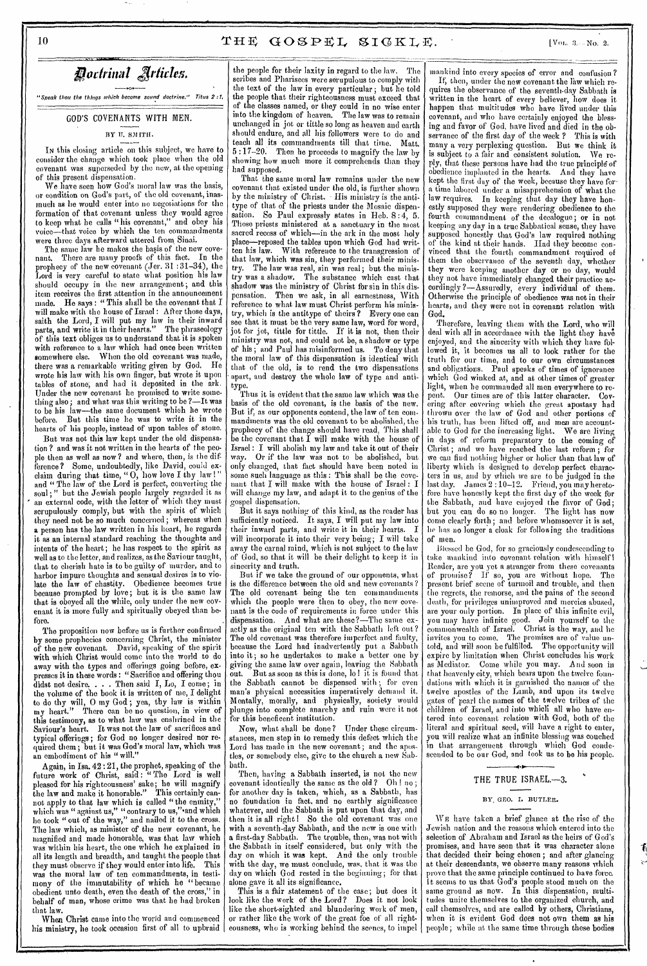"Sneak thou the things which become sound doctrine." Titus 2:1.

### GOD'S COVENANTS WITH MEN.

#### BY U. SMITH.

In this closing article on this subject, we have to consider the change which took place when the old covenant was superseded by the new, at the opening of this present dispensation.

We have seen how God's moral law was the basis, or condition on God's part, of the old covenant, inasmuch as he would enter into no negotiations for the formation of that covenant unless they would agree to keep what he calls " his covenant," and obey his voice—that voice by which the ten commandments were three days afterward uttered from, Sinai.

The same law he makes the basis of the new covenant. There are many proofs of this fact. In the prophecy of the new covenant (Jer. 31 : 31-34), the Lord is very careful to state what position his law should occupy in the new arrangement; and this item receives the first attention in the announcement made. He says: "This shall be the covenant that  $I$ will make with the house of Israel : After those days, saith the Lord, I will put my law in their inward parts, and write it in their hearts." The phraseology of this text obliges us to understand that it is spoken with reference to a law which had once been written somewhere else. When the old covenant was made, there was a remarkable writing given by God. He wrote his law with his own finger, but wrote it upon tables of stone; and had it deposited in the ark. Under the new covenant he promised to write something also; and what was this writing to be ?—It was to be his law—the same document which he wrote before. But this time he was to write it in the hearts of his people, instead of upon tables of stone.

But was not this law kept under the old dispensation ? and was it not written in the hearts of the people then as well as now? and where, then, is the difference? Some, undoubtedly, like David, could exclaim during that time, "O, how love I thy law !" and "The law of the Lord is perfect, converting the soul ; " but the Jewish people largely regarded it as an external code, with the letter of which they must scrupulously comply, but with the spirit of which they need not be so much concerned; whereas when a person has the law written in his heart, he regards it as an internal standard reaching the thoughts and intents of the heart; he has respect to the spirit as well as to the letter, and realizes, as the Saviour taught, that to cherish hate is to be guilty of murder, and to harbor impure thoughts and sensual desires is to violate the law of chastity. Obedience becomes true because prompted by love; but it is the same law that is obeyed all the while, only under the new covenant it is more fully and spiritually obeyed than before.

The proposition now before us is further confirmed by some prophecies concerning Christ, the minister of the new covenant. David, speaking of the spirit with which Christ would come into the world to do away with the types and offerings going before, expresses it in these words : "Sacrifice and offering thou didst not desire. . . . Then said I, Lo, I come; in the volume of the book it is written of' me, I delight to do thy will, 0 my God ; yea, thy law is within my heart." There can be no question, in view of this testimony, as to what law was enshrined in the Saviour's heart. It was not the law of sacrifices and typical offerings ; for God no longer desired nor required them; but it was God's moral law, which was an embodiment of his "will."

Again, in Isa. 42 : 21, the prophet, speaking of the future work of Christ, said: "The Lord is well pleased for his righteousness' sake; he will magnify the law and make it honorable." This certainly cannot apply to that law which is called "the enmity," which was "against us," "contrary to us,".and which he took "out of the way," and nailed it to the cross. The law which, as minister of the new covenant, he magnified and made honorable, was that law which was within his heart, the one which he explained in all its length and breadth, and taught the people that they must observe if they would enter into life. This was the moral law of ten commandments, in testimony of the immutability of which he "became obedient unto death, even the death of the cross," in behalf of man, whose crime was that he had broken that law.

When Christ came into the world and commenced his ministry, he took occasion first of all to upbraid

the people for their laxity in regard to the law. The scribes and Pharisees were serupulous to comply with the text of the law in every particular; but he told the people that their righteousness must exceed that of the classes named, or they could in no wise enter into the kingdom of heaven. The law was to remain unchanged in jot or tittle so long as heaven and earth should endure, and all his followers were to do and teach all its commandments till that time. Matt. 5 :17-20. Then he proceeds to magnify the law by showing how much more it comprehends than they had supposed.

That the same moral law remains under the new covenant that existed under the old, is further shown by the ministry of Christ. - His ministry is the antitype of that of the priests under the Mosaic dispensation. So Paul expressly states in Hob. 8 :4, 5. Those priests ministered at a sanctuary in the most sacred recess of which--in the ark in the most holy place—reposed the tables upon which God had written his law. With reference to the transgression of that law, which was sin, they performed their ministry. The law was real, sin was real; but the ministry was a shadow. The substance which cast that shadow was the ministry of Christ for sin in this dispensation. Then we ask, in all earnestness, With reference to what law must Christ perform his ministry, which is the antitype of theirs ? Every one can see that it must be the very same law, word for word, jot for jot, tittle for tittle. If it is not, then their ministry was not, and could not be, a shadow or type of his ; and Paul has misinformed us. To deny that the moral law of this dispensation is identical with that of the old, is to rend the two dispensations apart, and destroy the whole law of type and antitype.

Thus it is evident that the same law which was the basis of the old covenant, is the basis of the new. But if, as our opponents contend, the law of ten commandments was the old covenant to be abolished, the prophecy of the change should have read, This shall be the covenant that  $\tilde{I}$  will make with the house of Israel : I will abolish my law and take it out of their way. Or if the law was not to be abolished, but only changed, that fact should have been noted in some such language as this : This shall be the covenant that I will make with the house of Israel : I will change my law, and adapt it to the genius of the gospel dispensation.

But it says nothing of this kind, as the reader has sufficiently noticed. It says, I will put my law into their inward parts, and write it in their hearts. I will incorporate it into their very being; I will take away the carnal mind, which is not subject to the law of God, so that it will be their delight to keep it in sincerity and truth.

But if we take the ground of our opponents, what is the difference between the old and new covenants ? The old covenant being the ten commandments which the people were then to obey, the new covenant is the code of requirements in force under this dispensation. And what are these?—The same exactly as the original ten with the Sabbath left, out ? The old covenant was therefore imperfect and faulty, because the Lord had inadvertently put a Sabbath into it; so he undertakes to make a better one by giving the same law over again, leaving the Sabbath out. But as soon as this is done, lo ! it is found that the Sabbath cannot be dispensed with ; for even man's physical necessities imperatively demand it. Mentally, morally, and physically, society would plunge into complete anarchy and ruin were it not for this beneficent institution.

Now, what shall be done? Under these circumstances, men step in to remedy this defect which the Lord has made in the new covenant; and the apostles, or somebody else, give to the church a new Sabbath.

Then, having a Sabbath inserted, is not the new covenant identically the same as the old  $\gamma$  Oh ! no for another day is taken, which, as a Sabbath, has no foundation in fact, and no earthly significance whatever, and the Sabbath is put upon that day, and then it is all right! So the old covenant was one with a seventh-day Sabbath, and the new is one with a first-day Sabbath. The trouble, then, was not with the Sabbath in itself considered, but only with the day on which it was kept. And the only trouble with the day, we must conclude, was, that it was the day on which God rested in the beginning; for that alone gave it all its significance.

This is a fair statement of the case; but does it look like the work of the Lord? Does it not look like the short-sighted and blundering work of men, or rather like the work of the great foe of all righteousness, who is working behind the scenes, to impel

mankind into every species of error and confusion ?

If; then, under the new covenant the law which requires the observance of the seventh-day Sabbath is written in the heart of every believer, how does it happen that multitudes who have lived under this covenant, and who have certainly enjoyed the blessing and favor of God, have lived and died in the observance of the first day of the week ? This is with many a very perplexing question. But we think it is subject to a fair and consistent solution. We reply, that these persons have had the true principle of obedience implanted in the hearts. And they have kept the first day of' the week, because they have for• a time labored under a misapprehension of what the law requires. In keeping that day they have honestly supposed they were rendering obedience to the fourth commandment of the decalogue; or in not keeping any day in a true Sabbatical sense, they have supposed honestly that God's law required nothing of the kind at their hands. Had they become convinced that the fourth commandment required of them the observance of the seventh day, whether they were keeping another day or no day, would they not have immediately changed their practice accordingly ?—Assuredly, every individual of them. Otherwise the principle of obedience was not in their hearts, and they were not in covenant relation with God.

Therefore, leaving them with the Lord, who will deal with all in accordance with the light they have enjoyed, and the sincerity with which they have followed it, it becomes us all to look rather for the truth for our time, and to our own circumstances and obligations. Paul speaks of times of ignorance which God winked at, and at other times of' greater light, when he commanded all men everywhere to repent. Our times are of this latter character. Covering after covering which the great apostasy had thrown over the law of God and other portions of his truth, has been lifted off, and men are accountable to God for the increasing light. We are living in days of reform preparatory to the coming of Christ; and we have reached the last reform; for we can find nothing higher or holier than that law of liberty which is designed to develop perfect characters in us, and by which we are to be judged in the last day. James 2 : 10-12. Friend, you may heretofore have honestly kept the first day of the week for the Sabbath, and have enjoyed the favor of God; but you can do so no longer. The light has now come clearly forth; and before whomsoever it is set, *lie* has no longer a cloak fbr following the traditions of men.

Blessed he God, for so graciously condescending to take mankind into covenant relation with himself Reader, are you yet a stranger from these covenants of promise? If so, you are without hope. The present brief scene of turmoil and trouble, and then the regrets, the remorse, and the pains of the second death, for privileges unimproved and mercies abused, are your only portion. In place of this infinite evil, you may have infinite good. Join yourself to the commonwealth of Israel. Christ is the way, and he invites you to come. The promises are of value untold, and will soon be fulfilled. The opportunity will expire by limitation when Christ concludes his work as Mediator. Come while you may. A nd soon in that heavenly city, which bears upon the twelve foundations with which it is garnished the names of the twelve apostles of the Lamb, and upon its twelve gates of pearl the names of the twelve tribes of the children of Israel, and into which all who have entered into covenant relation with God, both of the literal and spiritual seed, will have a right to enter, you will realize what an infinite blessing was couched in that arrangement through which God condescended to be our God, and took us to be his people.

len.<br>Kon

 $\ddot{\phantom{0}}$ 

## THE TRUE ISRAEL.-3.

#### BY GEO. I. BUTLER.

WE have taken a brief glance at the rise of the Jewish nation and the reasons which entered into the selection of Abraham and Israel as the heirs of God's promises, and have seen that it was character alone that decided their being chosen ; and after glancing at their descendants, we observe many reasons which prove that the same principle continued to have force. It seems to us that God's people stood much on the same ground as now. In this dispensation, multitudes unite themselves to the organized church, and call themselves, and are called by others, Christians, when it is evident God does not own them as his people; while at the same time through these bodies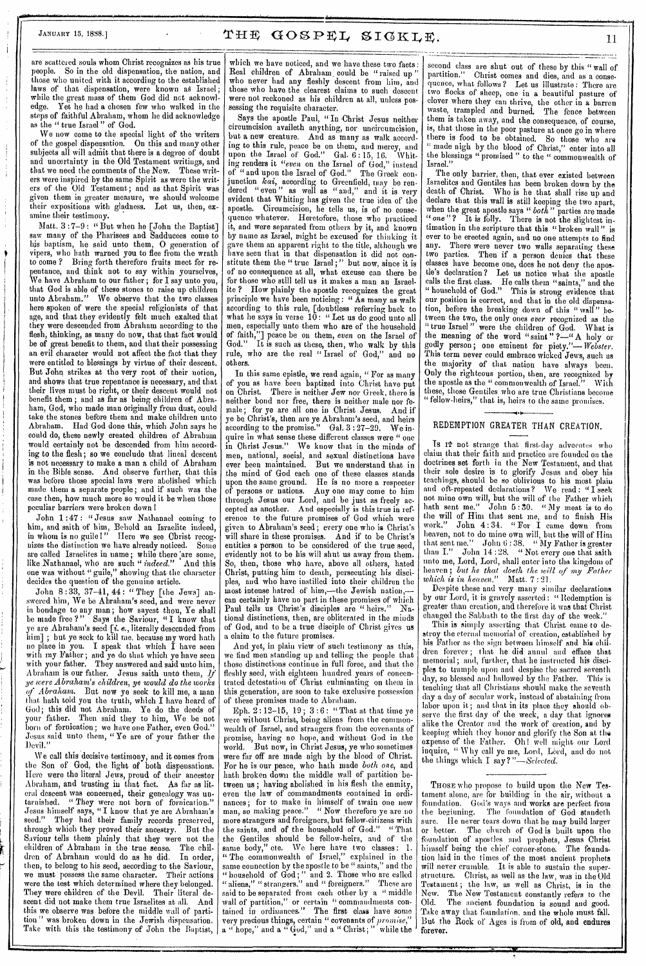are scattered souls whom Christ recognizes as his true people. So in the old dispensation, the nation, and those who united with it according to the established laws of that dispensation, were known as Israel; while the great mass of them God did not acknowledge. Yet he had a chosen few who walked in the steps of faithful Abraham, whom he did acknowledge as the " true Israel" of God.

We now come to the special light of the writers of the gospel dispensation. On this and many other subjects all will admit that there is a degree of doubt and uncertainty in the Old Testament writings, and that we need the comments of the New. These writers were inspired by the same Spirit as were the writers of the Old Testament; and as that Spirit was given them in greater measure, we should welcome their expositions with gladness. Let us, then, examine their testimony.

Matt. 3 :7-9 : "But when he [John the Baptist] saw many of the Pharisees and Sadducees come to his baptism, he said unto them, 0 generation of vipers, who hath warned you to flee from the wrath to come ? Bring forth therefore fruits meet for repentance, and think not to say within yourselves, Wo have Abraham to our father ; for I say unto you, that God is able of these stones to raise up children unto Abraham." We observe that the two classes here spoken of were the special religionists of that age, and that they evidently felt much exalted that they were descended from Abraham according to the flesh, thinking, as many do now, that that fact would be of great benefit to them, and that their possessing an evil character would not affect the fact that they were entitled to blessings by virtue of their descent. But John strikes at the very root of their notion, and shows that true repentance is necessary, and that their lives must be right, or their descent would not benefit them ; and as far as being children of Abraham, God, who made man originally from dust, could take the stones before them and make children unto Abraham. Had God done this, which John says he could do, these newly created children of Abraham would certainly not be descended from him according to the flesh; so we conclude that lineal descent is not necessary to make a man a child of Abraham in the Bible sense. And observe further, that this was before those special laws were abolished which made them a separate people; and if such was the case then, how much more so would it be when those peculiar barriers were broken down

John 1 :47 : "Jesus saw Nathanael coming to him, and saith of him, Behold an Israelite indeed, in whom is no guile!" Here we see Cbrist recognizes the distinction we have already noticed. Some are called Israelites in name; while there are some, like Nathanael, who are such "indeed." And this one was without " guile," showing that the character decides the question of the genuine article.

John 8 : 33, 37-41, 44 : " They [the Jews] answered him, We be Abraham's seed, and were never in bondage to any man; how sayest thou, Ye shall be made free ?" Says the Saviour, " I know that ye are Abraham's seed [i. *e.,* literally descended from him]; but ye seek to kill me, because my word hath no place in you. I speak that which I have seen with my Father; and ye do that which ye have seen with your father. They answered and said unto him, Abraham is our father. Jesus saith unto them,  $J_f$ *ye were Abraham's children, ye would do the works (f Abraham,.* But now ye seek to kill me, a man that hath told you the truth, which I have heard of God ; this did not Abraham. Ye do the deeds of your father. Then said they to him, We be not born of fornication; we have one Father, even God." Jesus said unto them, " Ye are of your father the Devil."

We call this decisive testimony, and it comes from the Son of God, the light of both dispensations. Here were the literal Jews, proud of their ancestor Abraham, and trusting in that fact. As far as literal descent was concerned, their genealogy was untarnished. "They were not born of fornication." Jesus himself says, " I know that ye are Abraham's seed." They had their family records preserved, through which they proved their ancestry. But the Saviour tells them plainly that they were not the children of Abraham in the true sense. The children of Abraham would do as he did. In order, dren of Abraham would do as he did. then, to belong to his seed, according to the Saviour, we must possess the same character. Their actions were the test which determined where they belonged. They were children of the Devil. Their literal descent did not make them true Israelites at all. And this we observe was before the middle wall of partition " was broken down in the Jewish dispensation. Take with this the testimony of John the Baptist,

which we have noticed, and we have these two facts: Real children of Abraham could be "raised up who never had any fleshly descent from him, and those who have the clearest claims to such descent were not reckoned as his children at all, unless possessing the requisite character.

Says the apostle Paul, "In Christ Jesus neither circumcision availeth anything, nor uncircumcision, but a new creature. And as many as walk according to this rule, peace be on them, and mercy, and upon the Israel of God." Gal. 6: 15. 16. Whit- $\mathop{\rm ing}\nolimits$ n renders it "even on the Israel of God," instead of "and upon the Israel of God." The Greek conjunction *kai,* according to Greenfield, may be rendered " even " as well as " and," and it is very evident that Whiting has given the true idea of' the apostle. Circumcision, he tells us, is of no consequence whatever. Heretofore, those who practiced it, and were separated from others by it, and known by name as Israel, might be excused for thinking it gave them an apparent right to the title, although we have seen that in that dispensation it did not constitute them the " true Israel; " but now, since it is of no consequence at all, what excuse can there be for those who still tell us it makes a man an Israelite ? How plainly the apostle recognizes the great principle we have been noticing : " As many as walk according to this rule, [doubtless referring back to what he says in verse  $1\bar{0}$ : "Let us do good unto all men, especially unto them who are of the household of faith,"] peace be on them, *even* on the Israel of God." It is such as these, then, who walk by this rule, who are the real "Israel of God," and no others.

In this same epistle, we read again, " For as many of you as have been baptized into Christ have put on Christ. There is neither Jew nor Greek, there is neither bond nor free, there is neither mule nor female; for ye are all one in Christ Jesus. And if ye be Christ's, then are ye Abraham's seed, and heirs according to the promise." Gal. 3 : 27-29. We inquire in what sense these different classes were " one in Christ Jesus." We know that in the minds of men, national, social, and sexual distinctions have ever been maintained. But we understand that in the mind of God each one of these classes stands upon the same ground. He is no more a respecter of persons or nations. Any one may come to him through Jesus our Lord, and be just as freely accepted as another. And especially is this true in reference to the future promises of God which were given to Abraham's seed ; every one who is Christ's will share in these promises. And if to be Christ's entitles a person to be considered of the true seed, evidently not to be his will shut us away from them. So, then, those who have, above all others, hated Christ, putting him to death, persecuting his disciples, and who have instilled into their children the most intense hatred of him,—the Jewish nation, can certainly have no part in these promises of which Paul tells us Christ's disciples are " heirs." National distinctions, then, are obliterated in the minds of God, and to be a true disciple of Christ gives us a claim to the future promises.

And yet, in plain view of such testimony as this, when the twist extending up and testimony as this,<br>we find men standing up and telling the people that<br>these distinctions costinue in full force and that the those distinctions continue in full force, and that the fleshly seed, with eighteen hundred years of concentrated detestation of Christ culminating on them in this generation, are soon to take exclusive possession of these promises made to Abraham.

Eph. 2 : 12-15, 19; 3 : 6: " That at that time ye were without Christ, being aliens from the commonwealth of Israel, and strangers from the covenants of promise, having no hope, and without God in the world. But now, in Christ Jesus, ye who sometimes were far off are made nigh by the blood of Christ. For he is our peace, who hath made both one, and bath broken down the middle wall of partition between us; having abolished in his flesh the enmity, even the law of commandments contained in ordinances ; for to make in himself of twain one new man, so making peace." " Now therefore ye are no more strangers and foreigners, but fellow-citizens with the saints, and of the household of God." "That the Gentiles should be fellow-heirs, and of the same body," etc. We here have two classes: 1. " The commonwealth of Israel," explained in the same connection by the apostle to be "saints," and the "household of God;" and 2. Those who are called " aliens," " strangers," and " foreigners." These are said to be separated from each other by a " middle wall of partition," or certain " commandments contained in ordinances." The first class have some very precious things, certain " covenants of *promise,"*  a " hope," and a " God," and a " Christ; " while the

second class are shut out of these by this " wall of partition." Christ comes and dies, and as a consequence, what follows ? Let us illustrate: There are two flocks of sheep, one in a beautiful pasture of clover where they can thrive, the other in *a* barren waste, trampled and burned. The fence between them is taken away, and the consequence, of course, is, that those in the poor pasture at once go in where there is food to be obtained. So those who are " made nigh by the blood of Christ," enter into all the blessings "promised" to the " commonwealth of Israel."

The only barrier, then, that ever existed between Israelites and Gentiles has been broken down by the death of Christ. Who is he that shall rise up and declare that this wall is still keeping the two apart, when the great apostle says *"both"* parties are made "one"? It is folly. There is not the slightest intimation in the scripture that this " broken wall" is ever to be erected again, and no one attempts to find any. There were never two walls separating these two parties. Then if a person denies that these classes have become one, does he not deny the apostle's declaration? Let us notice what the apostle calls the first class. He calls them "saints," and the " household of God." This is strong evidence that our position is correct, and that in the old dispensation, before the breaking down of this " wall" between the two, the only ones *ever* recognized as the ' true Israel" were the children of God. What is the meaning of the word "saint " ?—" A holy or godly person; one eminent for piety."- $Webster.$ This term never could embrace wicked Jews, such as the majority of that nation have always been. Only the righteous portion, then, are recognized by the apostle as the "commonwealth of Israel." With the apostle as the " commonwealth of Israel." these, those Gentiles who are true Christians become fellow-heirs," that is, heirs to the same promises.

# REDEMPTION GREATER THAN CREATION.

Is If not strange that first-day advocates who claim that their faith and practice are founded on the doctrines set forth in the New Testament, and that their sole desire is to glorify Jesus and obey his teachings, should be so oblivious to his most plain and oft-repeated declarations? We read: "I seek not mine own will, but the will of the Father which hath sent me." John 5:30. "My meat is to do the will of Him that sent me, and to finish His work." John 4:34. "For I came down from John 4:34. " For I came down from heaven, not to do mine own will, but the will of Him that sent me." John 6:38. "My Father is greater than I." John 14 :28. " Not every one that saith than I." John 14:28. "Not every one that saith unto me, Lord, Lord, shall enter into the kingdom of heaven; but he that doeth the will of my Father *which is in heaven."* Matt. 7 :21.

Despite these and very many similar declarations by our Lord, it is gravely asserted : " Redemption is greater than creation, and therefore it was that Christ changed the Sabbath to the first day of the week."

This is simply asserting that Christ came to destroy the eternal memorial of creation, established by his Father as the sign between himself and his children forever ; that he did annul and efface that memorial ; and, further, that he instructed his disciples to trample upon and despise the sacred seventh day, so blessed and hallowed by the Father. This is teaching that all Christians should make the seventh day a day of secular work, instead of abstaining from labor upon it ; and that in its place they should observe the first day of the week, a day that ignores alike the Creator and the work of creation, and by keeping which they honor and glorify the Son at the expense of the Father. Oh! well might our Lord inquire, " Why call ye me, Lord, Lord, and do not the things which I say ? *"—Selected.* 

THOSE who propose to build upon the New Testament alone, are for building in the air, without a foundation. God's ways and works are perfect from the beginning. The foundation of God standeth The foundation of God standeth sure. He never tears down that he may build larger or better. The church of God is built upon the foundation of apostles and prophets, Jesus Christ himself being the chief' corner-stone. The foundation laid in the times of the most ancient prophets will never crumble. It is able to sustain the superstructure. Christ, as well as the law, was in the Old Testament ; the law, as well as Christ, is in the New. The New Testament constantly refers to the Old. The ancient foundation is sound and good. Take away that foundation. and the whole must fall. But the Rock of Ages is from of old, and endures forever.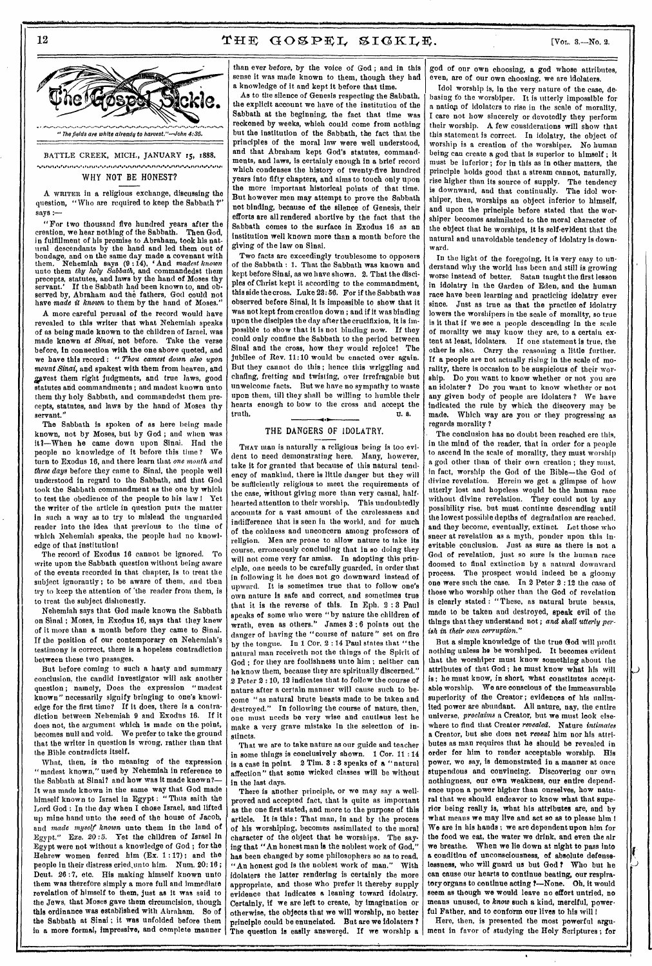# **12**  $THF GOSPEL, STGKLE.$  [Vot. 3.-No. 2.



nurkenen und her kansnur keichnan sin kan en einem Genen einem eine neit und in einen an einen einem munken er

# WHY NOT *BE* HONEST?

A WRITER in a religious exchange, discussing the question, "Who are required to keep the Sabbath ?" says :—

"For two thousand five hundred years after the creation, we hear nothing of the Sabbath. Then God, in fulfillment of his promise to Abraham, took his natural descendants by the hand and led them out of bondage, and on the same day made a covenant with<br>them. Nehemiah says (9:14), 'And madest known them. Nehemiah says (9 :14), And *madest known*  unto them *thy holy Sabbath,* and commandedst them precepts, statutes, and laws by the hand of Moses thy If the Sabbath had been known to, and observed by, Abraham and the fathers, God could not have *made it known* to them by the hand of Moses."

A more careful perusal of the record would have revealed to this writer that what Nehemiah speaks of as being made known to the children of Israel, was made known *at Sinai,* not before. Take the verse before, in connection with the one above quoted, and we have this record : " *Thou earnest down also upon mount Sinai,* and spakest with them from heaven, and gavest them right judgments, and true laws, good statutes and commandments ; and madest known unto them thy holy Sabbath, and commandedst them precepts, statutes, and laws by the hand of Moses thy servant."

The Sabbath is spoken of as here being made known, not by Moses, but by God ; and when was it?—When he came down upon Sinai. Had the people no knowledge of it before this time ? We turn to Exodus 16, and there learn that *one month and three days* before they came to Sinai, the people well understood in regard to the Sabbath, and that God took the Sabbath commandment as the one by which to test the obedience of the people to his law 1 Yet the writer of the article in question puts the matter in such a way as to try to mislead the unguarded reader into the idea that previous to the time of which Nehemiah speaks, the people had no knowledge of that institution!

The record of Exodus 16 cannot be ignored. To write upon the Sabbath question without being aware of the events recorded in that chapter, is to treat the subject ignorantly ; to be aware of them, and then try to keep the attention of 'the reader from them, is to treat the subject dishonestly.

Nehemiah says that God made known the Sabbath on Sinai ; Moses, in Exodus 16, says that they knew of it more than a month before they came to Sinai. If the position of our contemporary on Nehemiah's testimony is correct, there is a hopeless contradiction between these two passages.

But before coming to such a hasty and summary conclusion, the candid investigator will ask another question ; namely, Does the expression "madest known" necessarily signify bringing to one's knowledge for the first time? If it does, there is a contradiction between Nehemiah 9 and Exodus 16. If it does not, the argument which is made on the point, becomes null and void. We prefer to take the ground that the writer in question is wrong, rather than that the Bible contradicts itself.

What, then, is the meaning of the expression " madest known," used by Nehemiah in reference to the Sabbath at Sinai? and how was it made known? It was made known in the same way that God made himself known to Israel in Egypt : " Thus saith the Lord God : In the day when I chose Israel, and lifted up mine hand unto the seed of the house of Jacob, and *made myself known* unto them in the land of Egypt." Eze. 20 *:5.* Yet *the* children of Israel In Egypt were not without a knowledge of God ; for the Hebrew women feared him (Ex. 1 : 17); and the people in their distress cried,unto him. Num. 20: 16 ; Dent. 26 :7, etc. His making himself known unto them was therefore simply a more full and immediate revelation of himself to them, just as it was said to the Jews, that Moses gave them circumcision, though this ordinance was established with Abraham. So of the Sabbath at Sinai ; it was unfolded before them

•••••••••••••••••• •••••••••.••••••••••••••••••• ••••••••••

than ever before, by the voice of God ; and in this sense it was made known to them, though they had a knowledge of it and kept it before that time.

As to the silence of Genesis respecting the Sabbath, the explicit account we have of the institution of the Sabbath at the beginning, the fact that time was reckoned by weeks, which could come from nothing but the institution of the Sabbath, the fact that the principles of the moral law were well understood, and that Abraham kept God's statutes, commandments, and laws, is certainly enough in a brief record which condenses the history of twenty-five hundred years into fifty chapters, and aims to touch only upon the more important historical points of that time. But however men may attempt to prove the Sabbath not binding, because of the silence of Genesis, their efforts are all rendered abortive by the fact that the Sabbath comes to the surface in Exodus 16 as an institution well known more than a month before the giving of the law on Sinai.

Two facts are exceedingly troublesome to opposers of the Sabbath : 1. That the Sabbath was known and kept before Sinai, as we have shown. 2. That the disciples of Christ kept it according to the commandment, this side the cross. Luke 23:56. For if the Sabbath was observed before Sinai, it is impossible to show that it was not kept from creation down ; and if it was binding upon the disciples the day after the crucifixion, it is impossible to show that it is not binding now. If they could only confine the Sabbath to the period between Sinai and the cross, how they would rejoice! The jubilee of Rev. 11:10 would be enacted over again. But they cannot do this ; hence this wriggling and chafing, fretting and twisting, over irrefragable but unwelcome facts. But we have no sympathy to waste upon them, till they shall be willing to humble their hearts enough to bow to the cross and accept the truth. U.S.

# THE DANGERS OF IDOLATRY.

THAT man is naturally a religious being is too evident to need demonstrating here. Many, however, take it for granted that because of this natural tendency of mankind, there is little danger but they will be sufficiently religious to meet the requirements of the case, without giving more than very casual, halfhearted attention to their worship. This undoubtedly accounts for a vast amount of the carelessness and indifference that is seen in the world, and for much of the coldness and unconcern among professors of religion. Men are prone to allow nature to take its course, erroneously concluding that in so doing they will not come very far amiss. In adopting this principle, one needs to be carefully guarded, in order that in following it he does not go downward instead of upward. It is sometimes true that to follow one's own nature is safe and correct, and sometimes true that it is the reverse of this. In Eph. 2 :3 Paul speaks of some who were "by nature the children of wrath, even as others." James 3 :6 points out the danger of having the "course of nature" set on fire by the tongue. In 1 Cor. 2 : 14 Paul states that "the natural man receiveth not the things of the Spirit of God ; for they are foolishness unto him ; neither can he know them, because they are spiritually discerned." 2 Peter 2 : 10, 12 indicates that to follow the course of nature after a certain manner will cause such to become " as natural brute beasts made to be taken and destroyed." In following the course of nature, then, one must needs be very wise and cautious lest he make a very grave mistake in the selection of instincts.

That we are to take nature as our guide and teacher in some things is conclusively shown. 1 Cor. 11 :14 is a case in point. 2 Tim. 3 : 8 speaks of a " natural affection" that some wicked classes will be without in the last days.

in a more formal, impressive, and complete manner  $\vert$  The question is easily answered. If we worship a There is another principle, or we may *say* a wellproved and accepted fact, that is quite as important as the one first stated, and more to the purpose of this article. It is this : That man, in and by the process of his worshiping, becomes assimilated to the moral character of the object that he worships. The saying that "An honest man is the noblest work of God," has been changed by some philosophers so as to read, "An honest god is the noblest work of man." With idolaters the latter rendering is certainly the more appropriate, and those who prefer it thereby supply evidence that indicates a leaning toward idolatry. Certainly, if we are left to create, by imagination or otherwise, the objects that we will worship, no better principle could be enunciated. But are we idolaters ?

god of our own choosing, a god whose attributes, even, are of our own choosing, we are idolaters.

Idol worship is, in the very nature of the case, debasing to the worshiper. It is utterly impossible for a nation of idolaters to rise in the scale of morality, I care not how sincerely or devotedly they perform their worship. A few considerations will show that this statement is correct. In idolatry, the object of worship is a creation of the worshiper. No human being can create a god that is superior to himself ; it must be inferior; for in this as in other matters, the principle holds good that a stream cannot, naturally, rise higher than its source of supply. The tendency is downward, and that continually. The idol worshiper, then, worships an object inferior to himself, and upon the principle before stated that the worshiper becomes assimilated to the moral character of the object that he worships, it is self-evident that the natural and unavoidable tendency of idolatry is downward.

In the light of the foregoing, it is very easy to understand why the world has been and still is growing worse instead of better. Satan taught the first lesson in idolatry in the Garden of Eden, and the human race have been learning and practicing idolatry ever since. Just as true as that the practice of idolatry lowers the worshipers in the scale of morality, so true is it that if we see a people descending in the scale of morality we may know they are, to a certain extent at least, idolaters. If one statement is true, the other is also. Carry the reasoning a little further. If a people are not actually rising in the scale of morality, there is occasion to be suspicious of their worship. Do you want to know whether or not you are an idolater P Do you want to know whether or not any given body of people are idolaters ? We have indicated the rule by which the discovery may be made. Which way are you or they progressing as regards morality P

The conclusion has no doubt been reached ere this, in the mind of the reader, that in order for a people to ascend in the scale of morality, they must worship a god other than of their own creation ; they must, in fact, worship the God of the Bible—the God of divine revelation. Herein we get a glimpse of how utterly lost and hopeless would be the human race without divine revelation. They could not by any possibility rise, but must continue descending until the lowest possible depths of degradation are reached. and they become, eventually, extinct. Let those who sneer at revelation as a myth, ponder upon this inevitable conclusion. Just as sure as there is not a God of revelation, just so sure is the human race doomed to final extinction by a natural downward process. The prospect would indeed be a gloomy one were such the case. In 2 Peter 2 : 12 the case of those who worship other than the God of revelation is clearly stated : "These, as natural brute beasts, made to be taken and destroyed, speak evil of the things that they understand not ; *and shall utterly perish in their own corruption,."* 

But a simple knowledge of the true God will profit nothing unless he be worshiped. It becomes evident that the worshiper must know something about the attributes of that God ; he must know what his will is: he must know, in short, what constitutes acceptable worship. We are conscious of the immeasurable superiority of the Creator; evidences of his unlimited power are abundant. All nature, nay, the entire universe, *proclaims* a Creator, but we must look elsewhere to find that Creator *revealed.* Nature *intimates*  a Creator, but she does not *reveal* him nor his attributes as man requires that he should be revealed in order for him to render acceptable worship. His power, we say, is demonstrated in a manner at once stupendous and convincing. Discovering our own nothingness, our own weakness our entire ence upon a power higher than ourselves, how natural that we should endeavor to know what that superior being really is, what his attributes are, and by what means we may live and act so as to please him I We are in his hands ; we are dependent upon him for the food we eat, the water we drink, and even the air we breathe. When we lie down at night to pass into a condition of unconsciousness, of absolute defenselessness, who will guard us but God ? Who but he can cause our hearts to continue beating, our respiratory organs to continue acting ?- None. Oh, it would seem as though we would leave no effort untried, no means unused, to *know* such a kind, merciful, powerful Father, and to conform our lives to his will !

Here, then, is presented the most powerful argument in favor of studying the Holy Scriptures ; for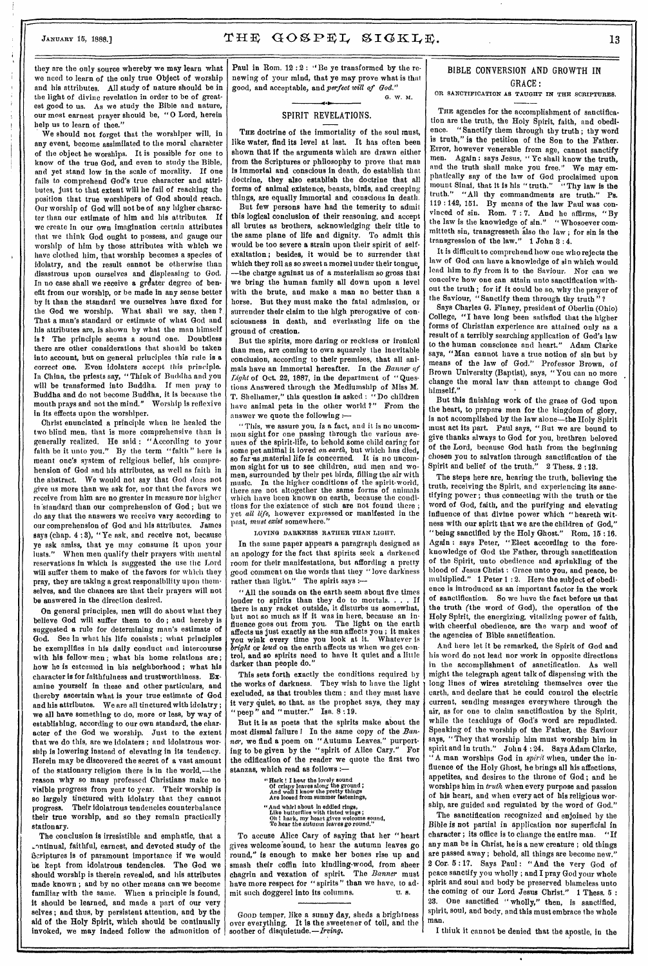# JANUARY 15, 1888.]  $THE \ GOSPEL \ SIGKLE,$  13

they are the only source whereby we may learn what we need to learn of the only true Object of worship and his attributes. All study of nature should be in the light of divine revelation in order to be of greatest good to us. As we study the Bible and nature, our most earnest prayer should be, "0 Lord, herein help us to learn of thee."

We should not forget that the worshiper will, in any event, become assimilated to the moral character of the object he worships. It is possible for one to know of the true God, and even to study the Bible, and yet stand low in the scale of morality. If one fails to comprehend God's true character and attributes, just to that extent will he fail of reaching the position that true worshipers of God should reach. Our worship of God will not be of any higher character than our estimate of him and his attributes. If we create in our own imagination certain attributes that we think God ought to possess, and gauge our worship of him by those attributes with which we have clothed him, that worship becomes a species of idolatry, and the result cannot be otherwise than disastrous upon *ourselves* and displeasing to God. In no case shall we receive a greater degree of benefit from our worship, or be made in any sense better by it than the standard we ourselves have fixed for the God we worship. What shall we say, then ? That a man's standard or estimate of what God and his attributes are, is shown by what the man himself is ? The principle seems a sound one. Doubtless there are other considerations that should be taken into account, but on general principles this rule is a *correct one.* Even idolaters *accept* this principle. In China, the priests say, "Think of Buddha and you will be transformed into Buddha. If men pray to Buddha and do not become Buddha, it is because the mouth prays and not the mind." Worship is reflexive in its effects upon the worshiper.

Christ enunciated a principle when lie healed the two blind men, that is more comprehensive than is generally realized. He said : "According to your faith be it unto you." By the term "faith" here is meant one's system of religious belief, his comprehension of God and his attributes, as well as faith in the abstract, We would not say that God does not give us more than we ask for, nor that the favors we receive from him are no greater in measure nor higher in 'standard than our comprehension of God ; but we do say that the answers we receive vary according to our comprehension of God and his attributes. James says (chap. 4 :3), "Ye ask, and receive not, because ye ask amiss, that ye may consume it upon your lusts." When men qualify their prayers with mental reservations in which is suggested the use the Lord will suffer them to make of the favors for which they pray, they are taking a great responsibility upon themselves, and the chances are that their prayers will not be answered in the direction desired.

On general principles, men will do about what they believe God will suffer them to do ; and hereby is suggested a rule for determining man's estimate of God. See in what his life consists ; what principles he exemplifies in his daily conduct and intercourse with his fellow-men ; what his home relations are ; how he is esteemed in his neighborhood ; what his character is for faithfulness and trustworthiness. Examine yourself in these and other particulars, and thereby ascertain what is your true estimate of God and his attributes. We are all tinctured with idolatry ; we all have something to do, more or less, by way of establishing, according to our own standard, the character of the God we worship. Just to the extent that we do this, are we idolaters ; and idolatrous worship is lowering instead of elevating in its tendency. Herein may be discovered the secret of a vast amount of the stationary religion there is in the world,—the reason why so many professed Christians make no visible progress from year to year. Their worship is so largely tinctured with idolatry that they cannot progress. Their idolatrous tendencies counterbalance their true worship, and so they remain practically stationary.

The conclusion is irresistible and emphatic, that a intinual, faithful, earnest, and devoted study of the scriptures is of paramount importance if we would be kept from idolatrous tendencies. The God we should worship is therein revealed, and his attributes made known ; and by no other means can we become familiar with the same. When a principle is found, it should be learned, and made a part of our very selves; and thus, by persistent attention, and by the aid of the Holy Spirit, which should be continually invoked, we *may* indeed follow the admonition of

Paul in Rom. 12:2: "Be ye transformed by the renewing of your mind, *that ye* may prove what is that good, and acceptable, and *perfect will of God."*  G. W. M.

# SPIRIT REVELATIONS.

THE doctrine of the immortality of the soul must, like water, find its level at last. It has often been shown that if the arguments which are drawn either from the Scriptures or philosophy to prove that man is immortal and conscious in death, do establish that doctrine, they also establish the doctrine that all forms of animal existence, beasts, birds, and creeping things, are equally immortal and conscious in death.

But few persons have had the temerity to admit this logical conclusion of their reasoning, and accept all brutes as brothers, acknowledging their title to the same plane of life and dignity. To admit this would be too severe a strain upon their spirit of selfexaltation ; besides, it would be to surrender that which they roll as so sweet a morsel under their tongue, —the charge against us of a materialism so *gross* that we bring the human family all down upon a level with the brute, and make a man no better than a horse. But they must make the fatal admission, or surrender their claim to the high prerogative of consciousness in death, and everlasting life on the ground of creation.

But the spirits, more daring or reckless or ironical than men, are coming to own squarely the inevitable conclusion, according to their premises, that all animals have an immortal hereafter. In the *Banner of Light* of Oct 22, 1887, in the department of " Questions Answered through the Mediumship of Miss M. T. Shelliamer," this question is asked : " Do children have animal pets in the other world ?" From the answer we quote the following :—

"This, we assure you, is a fact, and it is no uncommon sight for one passing through the various avenues of the spirit-life, to behold some child caring for some pet animal it loved *on earth,* but which has died, so far-as material life is concerned. It is no uncommon sight for us to see children, and men and women, surrounded by their pet birds, filling the air with music. In the higher conditions of the spirit-world, there are not altogether the same forms of animals which have been known on earth, because the conditions for the existence of such are not found there ; yet *all life,* however expressed or manifested in the past, *must exist* somewhere."

LOVING DARKNESS RATHER THAN LIGHT,

In the same paper appears a paragraph designed as an apology for the fact that spirits seek a darkened room for their manifestations, but affording a pretty good comment on the words that they " love darkness rather than light." The spirit says :---

"All the sounds on the earth seem about five times louder to spirits than they do to mortals. . . . If there is any racket outside, it disturbs us somewhat, but not so much as If it was in here, because an influence goes out from you. The light on the earth affects us just exactly as the sun affects you ; it makes you wink every time you look at it. Whatever is *bright* or *loud* on the earth affects us when we get control, and so spirits need to have it quiet and a little darker than people do."

This sets forth exactly the conditions required by the works of darkness. They wish to have the light excluded, as that troubles them ; and they must have it very quiet, so that, as the prophet says, they may "peep" and "mutter." Isa.  $8:19$ .

But it is as poets that the spirits make about the most dismal failure I In the same copy of the *Banner,* we find a poem on "Autumn Leaves," purporting to be given by the "spirit of Alice Cary." For the edification of the reader we quote the first two stanzas, which read as follows

> Hark ! I hear the lovely sound Of crispy leaves along the ground ; And well I know the pretty things Are loosed from summer fastenings, "And whirl about In eddied rings, Like butterflies with tinted wings ; Oh I hark, my heart gives welcome sound, To hear the autumn leaves go round."

To accuse Alice Cary of saying that her "heart gives welcome sound, to hear the autumn leaves go round," is enough to make her bones rise up and smash their coffin into kindling-wood, from sheer chagrin and vexation of spirit. The *Banner* must have more respect for "spirits" than we have, to admit such doggerel into its columns. U. s.

Goon temper, like a sunny day, sheds a brightness over everything. It is the sweetener of toil, and the soother of disquietude.

# BIBLE CONVERSION AND GROWTH IN GRACE:

## OR SANCTIFICATION AS TAUGHT IN THE SCRIPTURES.

THE agencies for the accomplishment of sanctification are the truth, the Holy Spirit, faith, and obedience. "Sanctify them through thy truth ; thy word is truth," is the petition of the Son to the Father. Error, however venerable from age, cannot sanctify men. Again : says Jesus, " Ye shall know the truth, and the truth shall make you free." We may emphatically say of the law of God proclaimed upon mount Sinai, that it is his "truth." "Thy law is the truth." "All thy commandments are truth." Ps. 119 : 142, 151. By means of the *law* Paul was convinced of sin. Rom. 7 : 7. And he affirms, "By the law is the knowledge of sin." " Whosoever committeth sin, transgresseth also the law ; for sin is the transgression of the law." 1 John 3 : 4.

It is difficult to comprehend how one who rejects the law of God can have a knowledge of sin which would lead him to fly from it to the Saviour. Nor can we conceive how one can attain unto sanctification without the truth ; for if it could be so, why the prayer of the Saviour, "Sanctify them through thy truth"?

Says Charles G. Finney, president of Oberlin (Ohio) College, "I have long been satisfied that the higher forms of Christian experience are attained only as a result of a terribly searching application of God's law to the human conscience and heart." Adam Clarke says, "Man cannot have a true notion of sin but by means of the law of God." Professor Brown, of Brown University (Baptist), says, "You can no more change the moral law than attempt to change God himself."

But this finishing work of the grace of God upon the heart, to prepare men for the kingdom of glory, is not accomplished by the law alone—the Holy Spirit must act its part. Paul says, "But we are bound to give thanks always to God for you, brethren beloved of the Lord, because God hath from the beginning chosen you to *salvation* through sanctification of the Spirit and belief of the truth." 2 Thess. 2:13.

The steps here are, hearing the truth, believing the truth, receiving the Spirit, and experiencing its sanctifying power ; thus connecting with the truth or the word of God, faith, and the purifying and elevating influence of that divine power which "beareth witness with our spirit that we are the children of God," "being sanctified by the Holy Ghost." Rom. 15 :16. Again : says Peter, "Elect according to the foreknowledge of God the Father, through sanctification of the Spirit, unto obedience and sprinkling of the blood of Jesus Christ : Grace unto you, and peace, be multiplied." 1 Peter 1 : 2. Here the subject of obedience is introduced as an important factor in the work of sanctification. So we have the fact before us that the truth (the word of God), the operation of the Holy Spirit, the energizing, vitalizing power of faith, with cheerful obedience, are the warp and woof of the agencies of Bible sanctification.

And here let it be remarked, the Spirit of God and his word do not lead nor work in opposite directions in the accomplishment of sanctification. As well might the telegraph agent talk of dispensing with the long lines of wires stretching themselves over the earth, end declare that he could control the electric current, sending messages everywhere through the air, as for one to claim sanctification by the Spirit, while the teachings of God's word are repudiated. Speaking of the worship of the Father, the Saviour says, " They that worship him must worship him in spirit and in truth." John 4 : 24. Says Adam Clarke, "A man worships God in *spirit* when, under the influence of the Holy Ghost, he brings all his affections, appetites, and desires to the throne of God ; and he  $\ldots$  .<br>worships him in *truth* when every purpose and of his heart, and when every act of his religious worship, are guided and regulated by the word of God."

The sanctification recognized and enjoined by the Bible is not partial in application nor superficial in character; its office is to change the entire man. "If any man be in Christ, he is a new creature ; old things are passed away ; behold, all things are become new." 2 Cor. 5:17. Says Paul: "And the very God of peace sanctify you wholly ; and I pray God your whole spirit and soul and body be preserved blameless unto the coming of our Lord Jesus Christ." 1 Thess. 5 : 23. One sanctified "wholly," then, is sanctified, spirit, soul, and body, and this must embrace the whole man,

I think it cannot be denied that the apostle, in the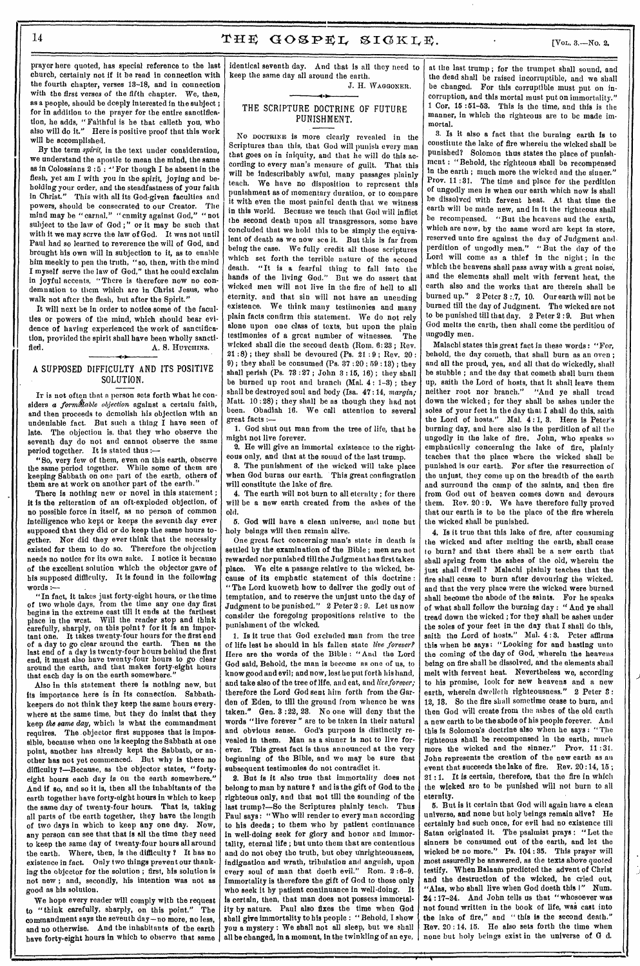prayer here quoted, has special reference to the last church, certainly not if it be read in connection with the fourth chapter, verses 13-18, and in connection with the first verses of the fifth chapter. We, then, as a people, should be deeply interested in the subject ; for in addition to the prayer for the entire sanctification, he adds, "Faithful is he that calleth you, who also will do it." Here is positive proof that this work will be accomplished.

By the term *spirit,* in the text under consideration, we understand the apostle to mean the mind, the same as in Colossians 2:5: "For though I be absent in the flesh, yet am I with you in the *spirit, joying* and beholding your order, and the steadfastness of your faith in Christ." This with all its God-given faculties and powers, should be consecrated to our Creator. The mind may be "carnal," "cnmity against God," "not subject to the law of God;" or it may be such that with it we may serve the law of God. It was not until Paul had so learned to reverence the will of God, and brought his own will in subjection to it, as to enable him meekly to pen the truth, "so, then, with the mind I myself serve the law of God," that he could exclaim in joyful accents, "There is therefore now no condemnation to them which are in Christ Jesus, who walk not after the flesh, but after the Spirit."

It will next be in order to notice some of the faculties or powers of the mind, which should bear evidence of having experienced the work of sanctification, provided the spirit shall have been wholly sanctified. A. S. HUTCHINS.

# A SUPPOSED DIFFICULTY AND ITS POSITIVE SOLUTION.

-41

It is not often that a person sets forth what he considers *a formidable objection* against a certaiu faith, and then proceeds to demolish his objection with an undeniable fact. But such a thing I have seen of late. The objection is, that they who observe the seventh day do not and cannot observe the same period together. It is stated thus :—

"So, very few of them, even on this earth, observe the same period together. While some of them are keeping Sabbath on one part of the earth, others of them are at work on another part of the earth.

There is nothing new or novel in this statement ; it is the reiteration of an oft-exploded objection, of no possible force in itself, as no person of common intelligence who kept or keeps the seventh *day* ever supposed that they did or do keep the same hours together. Nor did they ever think that the necessity existed for them to do so. Therefore the objection needs no notice for its own sake. I notice it because of the excellent solution which the objector gave of his supposed difficulty. It is found in the following  $\textbf{words} :$ 

"In fact, it takes just forty-eight hours, or the time of two whole days, from the time any one day first begins in the extreme east till it ends at the farthest place in the west. Will the reader stop and think carefully, sharply, on this point ? for it is an important one. It takes twenty-four hours for the first end of a day to go clear around the earth. Then as the last end of a day is twenty-four hours behind the first end, it must also have twenty-four hours to go clear around the earth, and that makes forty-eight hours that each day is on the earth somewhere.

Also in this statement there is nothing new, but its importance here is in its connection. Sabbathkeepers do not think they keep the same hours everywhere at the same time, but they do insist that they keep *the same day,* which is what the commandment requires. The objector first supposes that is impossible, because when one is keeping the Sabbath at one point, another has already kept the Sabbath, or another has not yet commenced. But why is there no difficulty ?—Because, as the objector states, "fortyeight hours each day is on the earth somewhere." And if so, and so it is, then all the inhabitants of the earth together have forty-eight hours in which to keep the same day of twenty-four hours. That is, taking all parts of the earth together, they have the length of two days in which to keep any one day. Now, any person can see that that is all the time they need to keep the same day of twenty-four hours all around the earth. Where, then, is the difficulty ? It has no existence in fact. Only two things prevent our thanking the objector for the solution ; first, his solution is not new ; and, secondly, his intention was not as good as his solution.

We hope every reader will comply with the request to "think carefully, sharply, on this point." The commandment says the seventh day—no more, no less, and no otherwise. And the inhabitants of the earth have forty-eight hours in which to observe that same identical seventh day. And that is all they need to keep the same day all around the earth. J. H. WAGGONER.

# THE SCRIPTURE DOCTRINE OF FUTURE PUNISHMENT.

No DOCTRINE is more clearly revealed in the Scriptures than this, that God will punish every man that goes on in iniquity, and that he will do this according to every man's measure of guilt. That this will be indescribably awful, many passages plainly teach. We have no disposition to represent this punishment as of momentary duration, or to compare it with even the most painful death that we witness in this world. Because we teach that God will inflict the second death upon all transgressors, some have concluded that we hold this to be simply the equivalent of death as we now see it. But this is far from being the case. We fully credit all those scriptures which set forth the terrible nature of the sccond death. "It is a fearful thing to fall into the hands of the living God." But we do assert that wicked men will not live in the fire of hell to all eternity. and that sin will not have an unending existence. We think many testimonies and many plain facts confirm this statement. We do not rely alone upon one class of texts, but upon the plain testimonies of a great number of witnesses. The wicked shall die the secoud death (Rom. 6:23; Rev. 21 :8) ; they shall be devoured (Ps. 21 : 9 ; Rev. 20 : 9); they shall be consumed (Ps.  $37:20:59:13$ ); they shall perish (Ps. 73 :27 ; John 3 : 15, 16) ; they shall be burned up root and branch (Mal. 4 : 1-3) ; they shall be destroyed soul and body (Isa. 47 :14, *margin;*  Matt. 10 :28) ; they shall be as though they had not been. Obadiah 16. We call attention to several great facts :-

1. God shut out man from the tree of life, that he might not live forever.

2. He will give an immortal existence to the righteous only, and that at the sound of the last trump.

8. The punishment of the wicked will take place when God burns our earth. This great conflagration will constitute the lake of fire.

4. The earth will not burn to all eternity ; for there will be a new earth created from the ashes of the old.

5. God will have a clean universe, and none but holy beings will then remain alive.

One great fact concerning man's state in death is settled by the examination of the Bible ; men are not rewarded nor punished till the Judgment has first taken place. We cite a passage relative to the wicked, because of its emphatic statement of this doctrine : "The Lord kuoweth how to deliver the godly out of temptation, and to reserve the unjust unto the day of Judgment to be punished." 2 Peter 2 : *9.* Let us now consider the foregoing propositions relative to the punishment of the wicked.

1. Is it true that God excluded man from the tree of life lest he should in his fallen state *live forever?*  Here are the words of the Bible : "And the Lord God said, Behold, the man is become as one of us, to know good and evil; and now, lest he put forth his hand, and take also of the tree of life, and eat, and *liveforever;*  therefore the Lord God sent him forth from the Garden of Eden, to till the ground from whence he was taken." Gen. 3 :22, 23. No one will deny that the words "live forever " are to be taken in their natural and obvious sense. God's purpose is distinctly revealed in them. Man as a sinner is not to live forever. This great fact is thus announced at the very beginning of the Bible, and we may be sure that subsequent testimonies do not contradict it.

2. But is it also true that immortality does not belong to man by nature ? and is the gift of God to the righteous only, and that not till the sounding of the last trump?—So the Scriptures plainly teach. Thus Paul says: "Who will render to every man according to his deeds; to them who by patient continuance in well-doing seek for glory and honor and immortality, eternal life ; but unto them that are contentious and do not obey the truth, but obey unrighteousness, *indignation* and wrath, tribulation and anguish, *upon*  every soul of man that doeth evil." Rom. 2:6-9. Immortality is therefore the gift of God to those only who seek it by patient continuance in well-doing. It is certain, then, that man does not possess immortality by nature. Paul also fixes the time when God shall give immortality to his people : " Behold, I show you a mystery : We shall not all sleep, but we shall all be changed, *in a* moment, in the twinkling of an eye, at the last trump ; for the trumpet shall sound, and the dead shall be raised incorruptible, and we shall be changed. For this corruptible must put on incorruption, and this mortal must put on immortality." 1 Cor, 15 :51-53. This is the time, and this is the manner, in which the righteous are to be made immortal.

3. Is it also a fact that the burning earth is to constitute the lake of fire wherein the wicked shall be punished? Solomon thus states the place of punishment : "Behold, the righteous shall be recompensed in the earth ; much more the wicked and the sinner." Prov. 11 :31. The time and place for the perdition of ungodly men is when our earth which now is shall be dissolved with fervent heat. At that time the earth will be made new, and in it the righteous shall be recompensed. "But the heavens and the earth, which are now, by the same word are kept in store, reserved unto fire against the day of Judgment and, perdition of ungodly men." "But the day of the Lord will come as a thief in the night; in the which the heavens shall pass away with a great noise, and the elements shall melt with fervent heat, the earth also and the works that are therein shall be burned up." 2 Peter 8 :,7, 10. Our earth will not be burned till the day of Judgment. The wicked are not to be punished till that day. 2 Peter 2 :9. But when God melts the earth, then shall come the perdition of ungodly men.

Malachi states this great fact in these words : "For, behold, the day cometh, that shall burn as an oven ; and all the proud, yea, and all that do wickedly, shall be stubble ; and the day that cometh shall burn them up, saith the Lord of hosts, that it shall leave them neither root nor branch." "And ye shall tread down the wicked ; for they shall be ashes under the soles of your feet in the day that I shall do this, saith the Lord of hosts." Mal. 4 : 1, 3. Here is Peter's burning day, and here also is the perdition of all the ungodly in the lake of fire. John, who speaks so emphatically concerning the lake of fire, plainly teaches that the place where the wicked shall be punished is our earth. For after the resurrection of the unjust, they come up on the breadth of the earth and surround the camp of the saints, and then fire from God out of heaven comes down and devours them. Rev. 20 :9. We have therefore fully proved that our earth is to be the place of the fire wherein the wicked shall be punished.

4. Is it true that this lake of fire, after consuming the wicked and after melting the earth, shall cease to burn? and that there shall be a new earth that shall spring from the ashes of the old, wherein the just shall dwell ? Malachi plainly teaches that the fire shall cease to burn after devouring the wicked, and that the very place were the wicked were burned shall become the abode of the saints. For he speaks of what shall follow the burning day : " And ye shall tread down the wicked ; for they shall be ashes under the soles of your feet in the day that I shall do this, saith the Lord of hosts." Mal. 4 : 3. Peter affirms this when he says : "Looking for and hasting unto the coming of the day of God, wherein the heavens being on fire shall be dissolved, and the elements shall melt with fervent heat. Nevertheless we, according to his promise, look for new heavens and a new earth, wherein dwelleth righteousness." 2 Peter 3: 12, 18. So the fire shall sometime cease to burn, and then God will create from the ashes of the old earth a new earth to be the abode of his people forever. And this is Solomon's doctrine also when ho says : "The righteous shall be recompensed in the earth, much more the wicked and the sinner." Prov. 11:31. John represents the creation of the new earth as an event that succeeds the lake of fire. Rev. 20 :14, 15 ; 21 :1. It is certain, therefore, that the fire in which the wicked are to be punished will not burn to all eternity.

5. But is it certain that God will again have a clean universe, and none but holy beings remain alive? He certainly had such once, for evil had no existence till Satan originated it. The psalmist prays : "Let the sinners be consumed out of the earth, and let the wicked be no more." Ps. 104 : 85. This prayer will most assuredly be answered, as the texts above quoted testify. When Balaam predicted the advent of Christ and the destruction of the wicked, he cried out, "Alas, who shall live when God doeth this I" Num. 24 :17-24. And John tells us that "whosoever was not found written in the book of life, was cast into the lake of fire," and " this is the second death." Rev. 20 : 14, 15. He also sets forth the time when none but holy beings exist in the universe of. G d.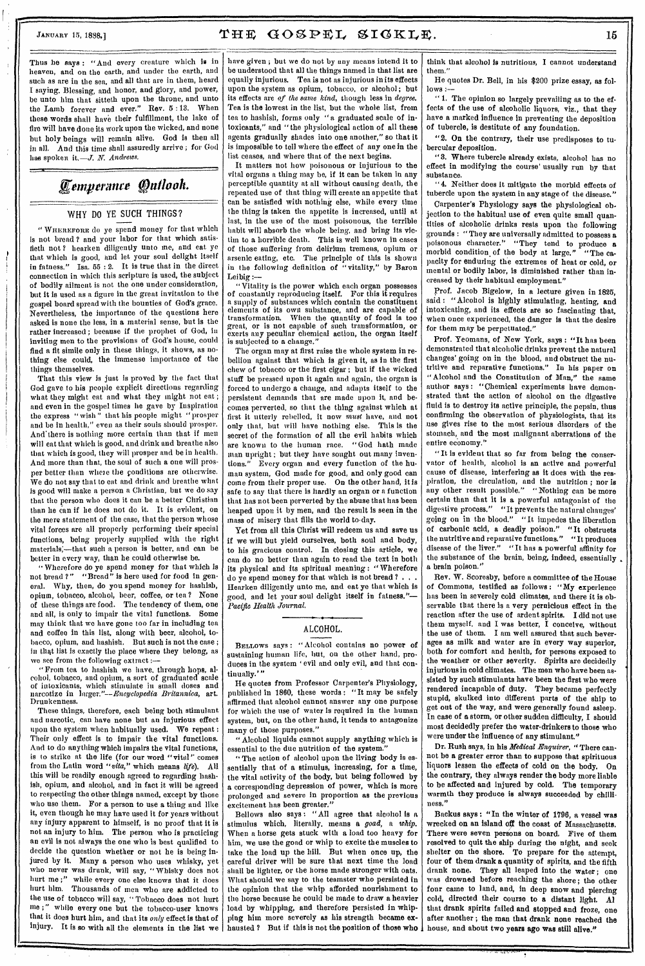# JANUARY 15, 1898.]  $\text{THE}$   $\text{GOSPEL}$   $\text{SIGKLE}$ . 15

Thus he says : "And every creature which is in heaven, and on the earth, and under the earth, and such as are in the sea, and all that are in them, heard I saying, Blessing, and honor, and glory, and power, be unto him that sitteth upon the throne, and unto the Lamb forever and ever." Rev. 5 :13. When these words shall have their fulfillment, the lake of fire will have done its work upon the wicked, and none but holy beings will remain alive. God is then all in all. And this time shall assuredly arrive ; for God has spoken it.—J. N. *Andrews.* 

# *Kernperance Outlook.*

# WHY DO YE SUCH THINGS?

" WHEREFORE do ye spend money for that which is not bread ? and your labor for that which satistieth not ? hearken diligently unto me, and eat ye that which is good, and let your soul delight itself in fatness." Isa. 55 : 2. It is true that in the direct connection in which this scripture is used, the subject of bodily ailment is not the one under consideration, but it is used as a figure in the great invitation to the gospel board spread with the bounties of God's grace. Nevertheless, the importance of the questions here asked is none the less, in *a* material sense, but is the rather increased ; because if the prophet of God, in inviting men to the provisions of God's house, could find a fit simile only in these things, it shows, as nothing else could, the immense importance of the things themselves.

That this view is just is proved by the fact that God gave to his people explicit directions regarding what they might eat and what they might not eat; and even in the gospel times he gave by Inspiration the express " wish " that his people might "prosper and be in health," even as their souls should prosper. And there is nothing more certain than that if men will eat that which is good, and drink and breathe also that which is good, they will prosper and be in health. And more than that, the soul of such *a* one will prosper better than where the conditions are otherwise. We do not say that to cat and drink and breathe what is good will make a person a Christian, but we do say that the person who does it can be a better Christian than he can if he does not do it. It is evident, on the mere statement of the case, that the person whose vital forces are all properly performing their special functions, being properly supplied with the right materials;—that such a person is better, and can be better in every way, than he could otherwise be.

" Wherefore do ye spend money for that which is not bread ?" "Bread" is here used for food in general. Why, then, do you spend money for hashish, opium, tobacco, alcohol, beer, coffee, or tea ? None of these things are food. The tendency of them, one and all, is only to impair the vital functions. Some may think that we have gone too far in including tea and coffee in this list, along with beer, alcohol, tobacco, opium, and hashish. But such is not the case ; in that list is exactly the place where they belong, as we see from the following extract :—

"Prom tea to hashish we have, through hops, alcohol, tobacco, and opium, a sort of graduated scale of intoxicants, which stimulate in small doses and narcotize in *larger."—Encyclopedia Britannica, art.*  Drunkenness.

These things, therefore, each being both stimulant and narcotic, can have none but an injurious effect upon the system when habitually used. *We* repeat : Their only effect is to impair the vital functions. And to do anything which impairs the vital functions, is to strike *at* the life (for our word "vital" comes from the Latin word *"vita,"* which means *life).* All this will be readily enough agreed to regarding hashish, opium, and alcohol, and in fact it will be agreed to respecting the other things named, except by those who use them. For a person to use a thing and like it, even though he may have used it for years without any injury apparent to himself, is no proof that it is not an injury to him. The person who is practicing an evil is not always the one who is best qualified to decide the question whether or not he is being injured by it. Many a person who uses whisky, yet who never was drunk, will say, "Whisky does not hurt me ;" while every one else knows that it does hurt him. Thousands of men who are addicted to the use of tobacco will say, " Tobacco does not hurt me ;" while every one but the tobacco-user knows that it does hurt him, and that its *only* effect is that of injury. It is so with all the elements in the list we

have given ; but we do not by any means intend it to be understood that all the things named in that list are equally injurious. Tea is not as injurious in its effects upon the system as opium, tobacco, or alcohol; but its effects are *of the same kind,* though less *in degree.*  Tea is the lowest in the list, but the whole list, from tea to hashish, forms only "a graduated scale of intoxicants," and "the physiological action of all these agents gradually shades into one another," so that it is impossible to tell where the effect of any one in the list ceases, and where that of the next begins.

It matters not how poisonous or injurious to the vital organs a thing may be, if it can be taken in any perceptible quantity at all without causing death, the repeated use of that thing will create an appetite that can be satisfied with nothing else, while every time the thing is taken the appetite is increased, until at last, in the use of the most poisonous, the terrible habit will absorb the whole being, and bring its victim to a horrible death. This is well known in cases of those suffering from delirium tremens, opium or arsenic eating, etc. The principle of this is shown in the following definition of "vitality," by Baron Leibig :—

" Vitality is the power which each organ possesses of constantly reproducing itself. For this it requires a supply of substances which contain the constituent elements of its own substance, and are capable of<br>transformation. When the quantity of food is too When the quantity of food is too great, or is not capable of such transformation, or exerts any peculiar chemical action, the organ itself is subjected to *a* change."

The organ may at first raise the whole system in rebellion against that which is given it, as in the first chew of tobacco or the first cigar ; but if the wicked stuff be pressed upon it again and again, the organ is forced to undergo a change, and adapts itself to the persistent demands that are made upon it, and becomes perverted, so that the thing against which at first it utterly rebelled, it now *must* have, and not only that, but will have nothing else. This is the secret of the formation of all the evil habits which are known to the human race. "God hath made man upright ; but they have sought out many inventions." Every organ and every function of the human system, God made for good, and only good can come from their proper use. On the other hand, it is safe to say that there is hardly an organ or a function that has not been perverted by the abuse that has been heaped upon it by men, and the result is seen in the mass of misery that fills the world to-day.

Yet from all this Christ will redeem us and save us if *we* will but yield ourselves, both soul and body, to his gracious control. In closing this article, we can do no better than again to read the text in both its physical and its spiritual meaning : "Wherefore do ye spend money for that which is not bread ? . . . Hearken diligently unto me, and eat ye that which is good, and let your soul delight itself in fatness."— *Pacific Health Journal.* 

# ALCOHOL.

BELLOWS says: "Alcohol contains no power of sustaining human life, but, on the other hand, produces in the system 'evil and only evil, and that continually.' "

He quotes from Professor Carpenter's Physiology, published in 1860, these words : "It may be safely affirmed that alcohol cannot answer any one purpose for which the use of water is required in the human system, but, on the other hand, it tends to antagonize many of those purposes."

"Alcohol liquids cannot supply anything which is essential to the due nutrition of the system."

" The action of alcohol upon the living body is essentially that of a stimulus, increasing, for a time, the vital activity of the body, but being followed by a corresponding depression of power, which is more prolonged and severe in proportion as the previous excitement has been greater."

Bellows also says: "All agree that alcohol is a stimulus which, literally, means *a goad, a whip.*  When *a* horse gets stuck with a load too heavy for him, we use the goad or whip to excite the muscles to take the load up the hill. But when once up, the careful driver will be sure that next time the load shall be lighter, or the horse made stronger with oats. What should we say to the teamster who persisted in the opinion that the whip afforded nourishment to the horse because he could be made to draw a heavier load by whipping, and therefore persisted in whipping him more severely as his strength became exhausted ? But if this is not the position of those who

think that alcohol is nutritious, I cannot understand them."

He quotes Dr. Bell, in his \$200 prize essay, as follows :—

" 1. The opinion so largely prevailing as to the effects of the use of alcoholic liquors, viz., that they have a marked influence in preventing the deposition of tubercle, is destitute of any foundation.

"2. On the contrary, their use predisposes to tubercular deposition.

"3. Where tubercle already exists, alcohol has no effect in modifying the course' usually run by that substance.

" 4. Neither does it mitigate the morbid effects of tubercle upon the system in any stage of the disease."

Carpenter's Physiology says the physiological objection to the habitual use of even quite small quantities of alcoholic drinks rests upon the following grounds : "They are universally admitted to possess *a*  poisonous character." "They tend to produce a morbid condition of the body at large." "The capacity for enduring the extremes of heat or cold, or mental or bodily labor, is diminished rather than increased by their habitual employment."

prof. Jacob Bigelow, in a lecture given in 1825, said : "Alcohol is highly stimulating, heating, and intoxicating, and its effects are so fascinating that, when once experienced, the danger is that the desire for them may be perpetuated."

Prof. Yeomans, of New York, says : "It has been demonstrated that alcoholic drinks prevent the natural changes' going on in the blood, and obstruct the nutritive and reparative functions." In his paper on "Alcohol and the Constitution of Man," the same author says : "Chemical experiments have demonstrated that the action of alcohol on the digestive fluid is to destroy its active principle, the pepsin, thus confirming the observation of physiologists, that its use gives rise to the most serious disorders of the stomach, and the most malignant aberrations of the entire economy."

"It is evident that so far from being the conservator of health, alcohol is an active and powerful cause of disease, interfering as it does with the respiration, the circulation, *and* the nutrition ; nor is any other result possible." " Nothing can be more certain than that it is a powerful antagonist of the digestive process." "It prevents the natural changes' going on in the blood." "It impedes the liberation of carbonic acid, a deadly poison." "It obstructs the nutritive and reparative functions." "It produces disease of the liver." "It has *a* powerful affinity for the substance of the brain, being, indeed, essentially a brain poison."

Rev. W. Scoresby, before a committee of the House of Commons, testified as follows : "My experience has been in severely cold climates, and there it is observable that there is a very pernicious effect in the reaction after the use of ardent spirits. I did not use *them* myself, and I was better, I conceive, without the use of them. I am well assured that such beverages as milk and water are in every way superior, both for comfort and health, for persons exposed to the weather or other severity. Spirits are decidedly injurious in cold climates. The men who have been assisted by such stimulants have been the first who were rendered incapable of duty. They became perfectly stupid, skulked into different parts of the ship to get out of the way, and were generally found asleep. In case of *a* storm, or other sudden difficulty, I should most decidedly prefer the water-drinkers to those who were under the influence of any stimulant."

Dr. Rush says, in his *Medical Enquirer, "* There cannot be a greater error than to suppose that spirituous liquors lessen the effects of cold on the body. On the contrary, they always render the body more liable to be affected and injured by cold. The temporary warmth they produce is always succeeded by chilliness."

Backus says: "In the winter of 1796, a vessel was wrecked on an island oft the coast of Massachusetts. There were seven persons on board. Five of them resolved to quit the ship during the night, and seek shelter on the shore. To prepare for the attempt. four of them drank a quantity of spirits, and the fifth drank none. They all leaped into the water ; one was drowned before reaching the shore; the other four came to land, and, in deep snow and piercing cold, directed their course to a distant light. Al that drank spirits failed and stopped and froze, one after another ; the man *that* drank none reached the house, and about two years ago was still alive."